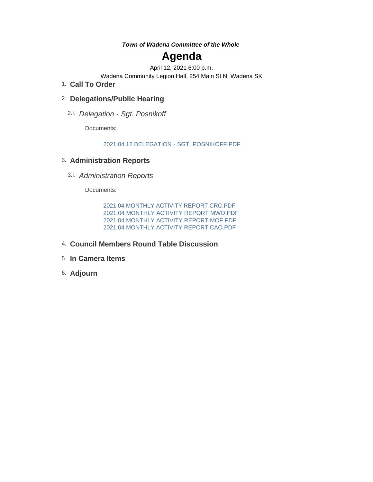*Town of Wadena Committee of the Whole*

# **Agenda**

April 12, 2021 6:00 p.m.

Wadena Community Legion Hall, 254 Main St N, Wadena SK

**Call To Order** 1.

## **Delegations/Public Hearing** 2.

*Delegation - Sgt. Posnikoff* 2.I.

Documents:

#### 2021.04.12 DELEGATION - SGT. POSNIKOFF.PDF

## **Administration Reports** 3.

*Administration Reports* 3.I.

Documents:

2021.04 MONTHLY ACTIVITY REPORT CRC.PDF 2021.04 MONTHLY ACTIVITY REPORT MWO.PDF 2021.04 MONTHLY ACTIVITY REPORT MOF.PDF 2021.04 MONTHLY ACTIVITY REPORT CAO.PDF

- **Council Members Round Table Discussion** 4.
- **In Camera Items** 5.
- **Adjourn** 6.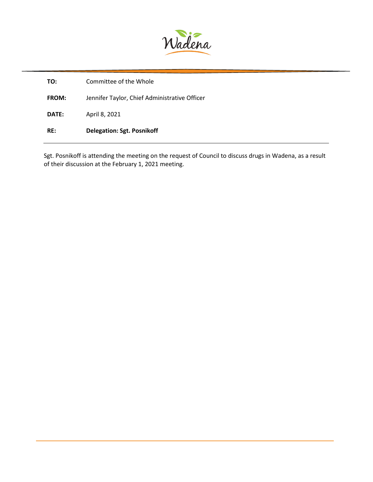

| TO:          | Committee of the Whole                        |
|--------------|-----------------------------------------------|
| <b>FROM:</b> | Jennifer Taylor, Chief Administrative Officer |
| <b>DATE:</b> | April 8, 2021                                 |
| RE:          | <b>Delegation: Sgt. Posnikoff</b>             |

Sgt. Posnikoff is attending the meeting on the request of Council to discuss drugs in Wadena, as a result of their discussion at the February 1, 2021 meeting.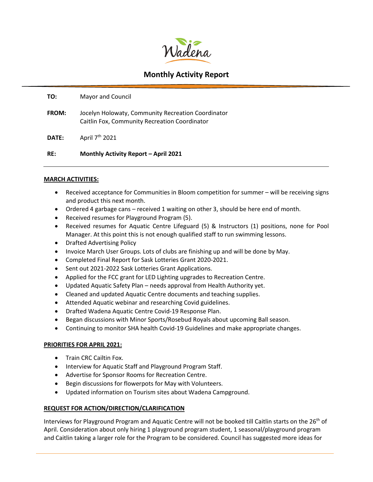

#### **TO:** Mayor and Council

- **FROM:** Jocelyn Holowaty, Community Recreation Coordinator Caitlin Fox, Community Recreation Coordinator
- **DATE:** April 7th 2021

#### **RE: Monthly Activity Report – April 2021**

#### **MARCH ACTIVITIES:**

- Received acceptance for Communities in Bloom competition for summer will be receiving signs and product this next month.
- Ordered 4 garbage cans received 1 waiting on other 3, should be here end of month.
- Received resumes for Playground Program (5).
- Received resumes for Aquatic Centre Lifeguard (5) & Instructors (1) positions, none for Pool Manager. At this point this is not enough qualified staff to run swimming lessons.
- Drafted Advertising Policy
- Invoice March User Groups. Lots of clubs are finishing up and will be done by May.
- Completed Final Report for Sask Lotteries Grant 2020-2021.
- Sent out 2021-2022 Sask Lotteries Grant Applications.
- Applied for the FCC grant for LED Lighting upgrades to Recreation Centre.
- Updated Aquatic Safety Plan needs approval from Health Authority yet.
- Cleaned and updated Aquatic Centre documents and teaching supplies.
- Attended Aquatic webinar and researching Covid guidelines.
- Drafted Wadena Aquatic Centre Covid-19 Response Plan.
- Began discussions with Minor Sports/Rosebud Royals about upcoming Ball season.
- Continuing to monitor SHA health Covid-19 Guidelines and make appropriate changes.

#### **PRIORITIES FOR APRIL 2021:**

- Train CRC Cailtin Fox.
- Interview for Aquatic Staff and Playground Program Staff.
- Advertise for Sponsor Rooms for Recreation Centre.
- Begin discussions for flowerpots for May with Volunteers.
- Updated information on Tourism sites about Wadena Campground.

#### **REQUEST FOR ACTION/DIRECTION/CLARIFICATION**

Interviews for Playground Program and Aquatic Centre will not be booked till Caitlin starts on the 26<sup>th</sup> of April. Consideration about only hiring 1 playground program student, 1 seasonal/playground program and Caitlin taking a larger role for the Program to be considered. Council has suggested more ideas for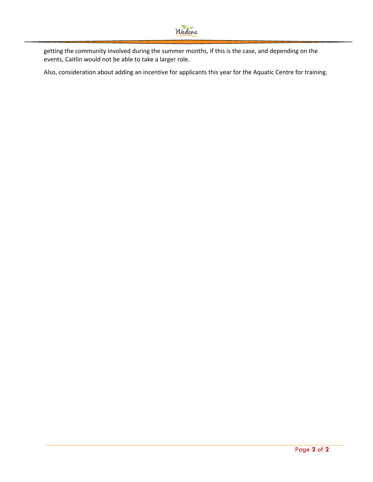getting the community involved during the summer months, if this is the case, and depending on the events, Caitlin would not be able to take a larger role.

Also, consideration about adding an incentive for applicants this year for the Aquatic Centre for training.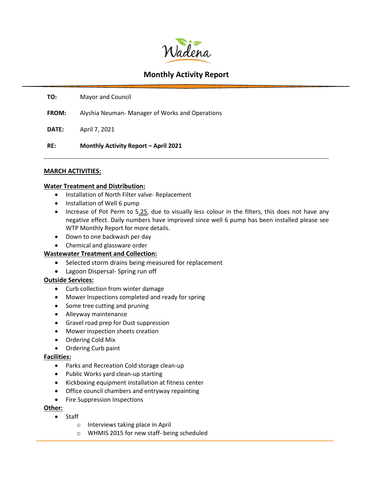

**TO:** Mayor and Council

**FROM:** Alyshia Neuman- Manager of Works and Operations

**DATE:** April 7, 2021

**RE: Monthly Activity Report – April 2021**

#### **MARCH ACTIVITIES:**

#### **Water Treatment and Distribution:**

- Installation of North Filter valve- Replacement
- Installation of Well 6 pump
- Increase of Pot Perm to 5.25, due to visually less colour in the filters, this does not have any negative effect. Daily numbers have improved since well 6 pump has been installed please see WTP Monthly Report for more details.
- Down to one backwash per day
- Chemical and glassware order

#### **Wastewater Treatment and Collection:**

- Selected storm drains being measured for replacement
- Lagoon Dispersal- Spring run off

#### **Outside Services:**

- Curb collection from winter damage
- Mower Inspections completed and ready for spring
- Some tree cutting and pruning
- Alleyway maintenance
- Gravel road prep for Dust suppression
- Mower inspection sheets creation
- Ordering Cold Mix
- Ordering Curb paint

#### **Facilities:**

- Parks and Recreation Cold storage clean-up
- Public Works yard clean-up starting
- Kickboxing equipment installation at fitness center
- Office council chambers and entryway repainting
- Fire Suppression Inspections

#### **Other:**

- Staff o Interviews taking place in April
	- o WHMIS 2015 for new staff- being scheduled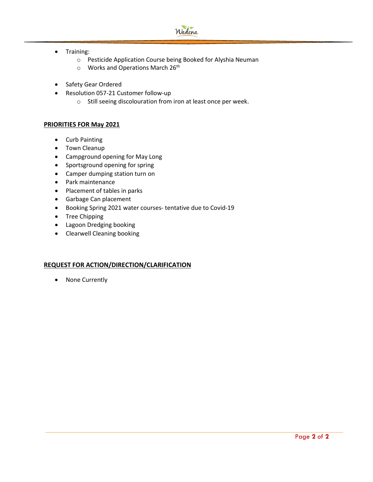

- Training:
	- o Pesticide Application Course being Booked for Alyshia Neuman
	- $\circ$  Works and Operations March 26<sup>th</sup>
- Safety Gear Ordered
- Resolution 057-21 Customer follow-up
	- o Still seeing discolouration from iron at least once per week.

#### **PRIORITIES FOR May 2021**

- Curb Painting
- Town Cleanup
- Campground opening for May Long
- Sportsground opening for spring
- Camper dumping station turn on
- Park maintenance
- Placement of tables in parks
- Garbage Can placement
- Booking Spring 2021 water courses- tentative due to Covid-19
- Tree Chipping
- Lagoon Dredging booking
- Clearwell Cleaning booking

#### **REQUEST FOR ACTION/DIRECTION/CLARIFICATION**

• None Currently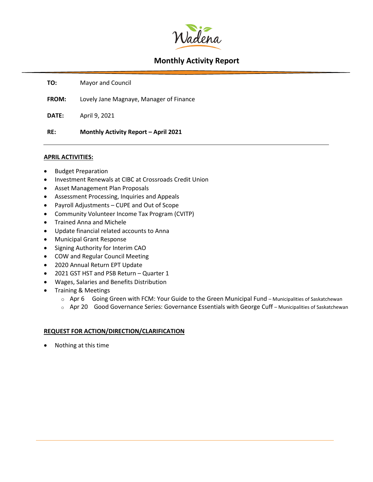

**TO:** Mayor and Council

**FROM:** Lovely Jane Magnaye, Manager of Finance

**DATE:** April 9, 2021

**RE: Monthly Activity Report – April 2021**

#### **APRIL ACTIVITIES:**

- Budget Preparation
- Investment Renewals at CIBC at Crossroads Credit Union
- Asset Management Plan Proposals
- Assessment Processing, Inquiries and Appeals
- Payroll Adjustments CUPE and Out of Scope
- Community Volunteer Income Tax Program (CVITP)
- Trained Anna and Michele
- Update financial related accounts to Anna
- Municipal Grant Response
- Signing Authority for Interim CAO
- COW and Regular Council Meeting
- 2020 Annual Return EPT Update
- 2021 GST HST and PSB Return Quarter 1
- Wages, Salaries and Benefits Distribution
- Training & Meetings
	- $\circ$  Apr 6 Going Green with FCM: Your Guide to the Green Municipal Fund Municipalities of Saskatchewan
	- <sup>o</sup> Apr 20 Good Governance Series: Governance Essentials with George Cuff Municipalities of Saskatchewan

#### **REQUEST FOR ACTION/DIRECTION/CLARIFICATION**

• Nothing at this time